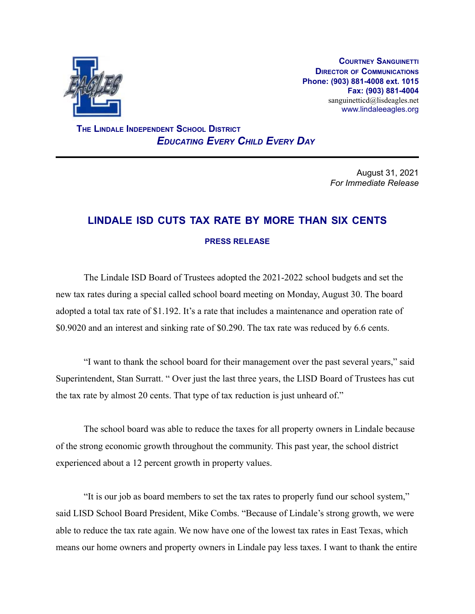

**COURTNEY SANGUINETTI DIRECTOR OF COMMUNICATIONS Phone: (903) 881-4008 ext. 1015 Fax: (903) 881-4004** sanguinetticd@lisdeagles.net www.lindaleeagles.org

**THE LINDALE INDEPENDENT SCHOOL DISTRICT** *EDUCATING EVERY CHILD EVERY DAY*

> August 31, 2021 *For Immediate Release*

## **LINDALE ISD CUTS TAX RATE BY MORE THAN SIX CENTS PRESS RELEASE**

The Lindale ISD Board of Trustees adopted the 2021-2022 school budgets and set the new tax rates during a special called school board meeting on Monday, August 30. The board adopted a total tax rate of \$1.192. It's a rate that includes a maintenance and operation rate of \$0.9020 and an interest and sinking rate of \$0.290. The tax rate was reduced by 6.6 cents.

"I want to thank the school board for their management over the past several years," said Superintendent, Stan Surratt. " Over just the last three years, the LISD Board of Trustees has cut the tax rate by almost 20 cents. That type of tax reduction is just unheard of."

The school board was able to reduce the taxes for all property owners in Lindale because of the strong economic growth throughout the community. This past year, the school district experienced about a 12 percent growth in property values.

"It is our job as board members to set the tax rates to properly fund our school system," said LISD School Board President, Mike Combs. "Because of Lindale's strong growth, we were able to reduce the tax rate again. We now have one of the lowest tax rates in East Texas, which means our home owners and property owners in Lindale pay less taxes. I want to thank the entire